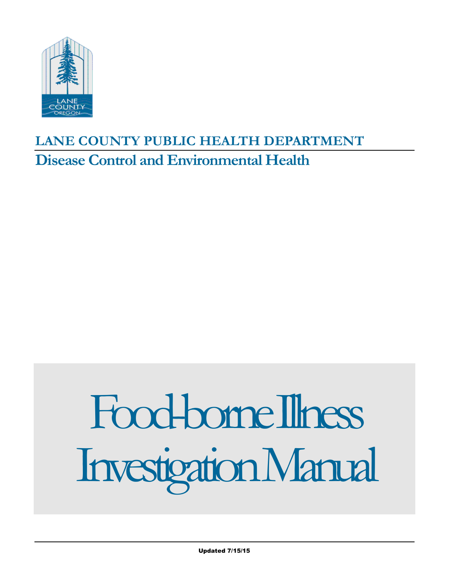

## **LANE COUNTY PUBLIC HEALTH DEPARTMENT Disease Control and Environmental Health**

# Food-borneIllness InvestigationManual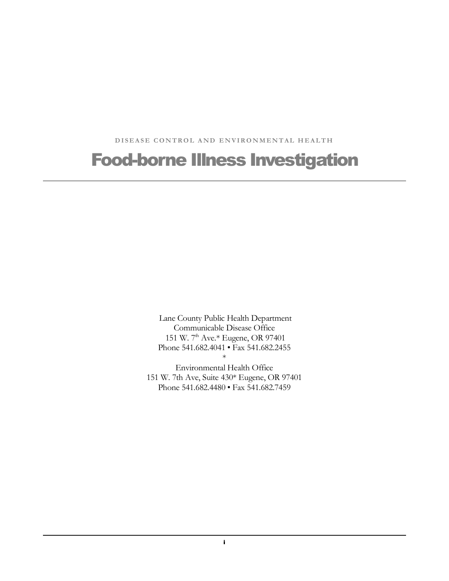DISEASE CONTROL AND ENVIRONMENTAL HEALTH

## Food-borne Illness Investigation

 Lane County Public Health Department Communicable Disease Office 151 W. 7th Ave.\* Eugene, OR 97401 Phone 541.682.4041 • Fax 541.682.2455 DISEASE CONTROL AND ENVIRONMENTAL HEALTH<br> **DOI-DOITICE IIINESS Investigat**<br>
Lanc County Public Health Department<br>
Communicable Disease Office<br>
151 W. 7<sup>th</sup> Ave.\* Eugene, OR 97401<br>
Phone 541.682.4041 • Fax 541.682.2455<br>
Env \*

 Environmental Health Office 151 W. 7th Ave, Suite 430\* Eugene, OR 97401 Phone 541.682.4480 • Fax 541.682.7459

i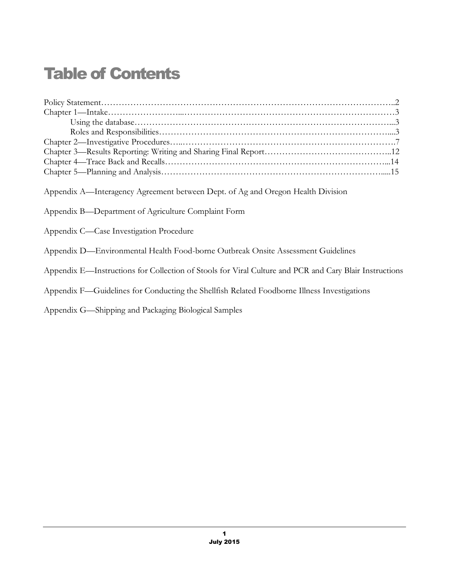| <b>Table of Contents</b>                                                                                                               |  |
|----------------------------------------------------------------------------------------------------------------------------------------|--|
|                                                                                                                                        |  |
|                                                                                                                                        |  |
|                                                                                                                                        |  |
|                                                                                                                                        |  |
|                                                                                                                                        |  |
|                                                                                                                                        |  |
|                                                                                                                                        |  |
|                                                                                                                                        |  |
| Appendix A—Interagency Agreement between Dept. of Ag and Oregon Health Division<br>Appendix B—Department of Agriculture Complaint Form |  |
| Appendix C—Case Investigation Procedure                                                                                                |  |
| Appendix D—Environmental Health Food-borne Outbreak Onsite Assessment Guidelines                                                       |  |
| Appendix E-Instructions for Collection of Stools for Viral Culture and PCR and Cary Blair Instructions                                 |  |
| Appendix F-Guidelines for Conducting the Shellfish Related Foodborne Illness Investigations                                            |  |
| Appendix G—Shipping and Packaging Biological Samples                                                                                   |  |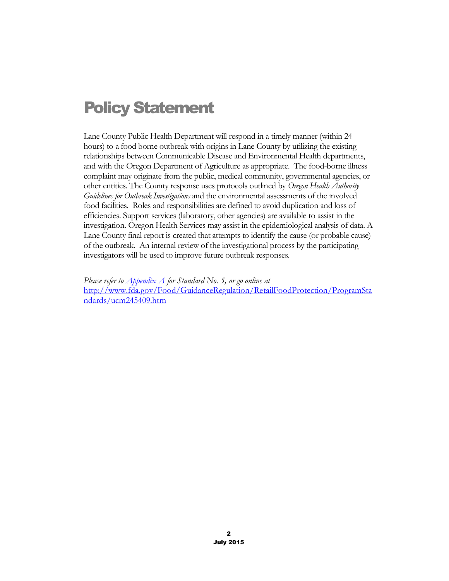## Policy Statement

 Lane County Public Health Department will respond in a timely manner (within 24 hours) to a food borne outbreak with origins in Lane County by utilizing the existing relationships between Communicable Disease and Environmental Health departments, and with the Oregon Department of Agriculture as appropriate. The food-borne illness complaint may originate from the public, medical community, governmental agencies, or other entities. The County response uses protocols outlined by *Oregon Health Authority Guidelines for Outbreak Investigations* and the environmental assessments of the involved food facilities. Roles and responsibilities are defined to avoid duplication and loss of efficiencies. Support services (laboratory, other agencies) are available to assist in the investigation. Oregon Health Services may assist in the epidemiological analysis of data. A Lane County final report is created that attempts to identify the cause (or probable cause) of the outbreak. An internal review of the investigational process by the participating investigators will be used to improve future outbreak responses.

 *Please refer to Appendix A for Standard No. 5, or go online at*  [http://www.fda.gov/Food/GuidanceRegulation/RetailFoodProtection/ProgramSta](http://www.fda.gov/Food/GuidanceRegulation/RetailFoodProtection/ProgramStandards/ucm245409.htm)  [ndards/ucm245409.htm](http://www.fda.gov/Food/GuidanceRegulation/RetailFoodProtection/ProgramStandards/ucm245409.htm)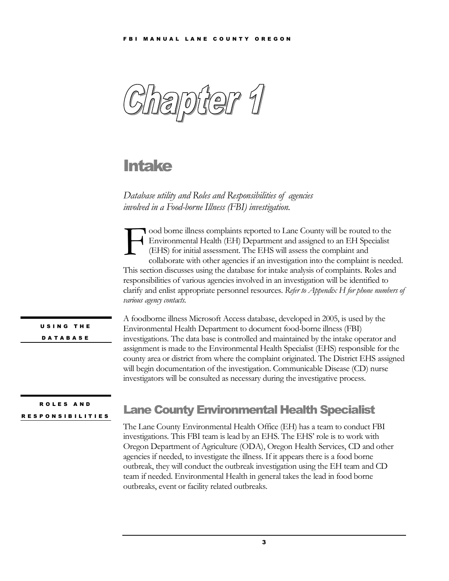<span id="page-4-0"></span>

## Intake

 *Database utility and Roles and Responsibilities of agencies involved in a Food-borne Illness (FBI) investigation.* 

ood borne illness complaints reported to Lane County will be routed to the (EHS) for initial assessment. The EHS will assess the complaint and collaborate with other agencies if an investigation into the complaint is needed. This section discusses using the database for intake analysis of complaints. Roles and responsibilities of various agencies involved in an investigation will be identified to clarify and enlist appropriate personnel resources. *Refer to Appendix H for phone numbers of various agency contacts.*  ood borne illness complaints reported to Lane County will be routed to the Environmental Health (EH) Department and assigned to an EH Specialist (EHS) for initial assessment. The EHS will assess the complaint and collabora

 U S I N G T H E D A T A B A S E

 A foodborne illness Microsoft Access database, developed in 2005, is used by the Environmental Health Department to document food-borne illness (FBI) investigations. The data base is controlled and maintained by the intake operator and assignment is made to the Environmental Health Specialist (EHS) responsible for the county area or district from where the complaint originated. The District EHS assigned will begin documentation of the investigation. Communicable Disease (CD) nurse investigators will be consulted as necessary during the investigative process.

#### R O L E S A N D RESPONSIBILITIES

## **Lane County Environmental Health Specialist**

 The Lane County Environmental Health Office (EH) has a team to conduct FBI investigations. This FBI team is lead by an EHS. The EHS' role is to work with Oregon Department of Agriculture (ODA), Oregon Health Services, CD and other agencies if needed, to investigate the illness. If it appears there is a food borne outbreak, they will conduct the outbreak investigation using the EH team and CD team if needed. Environmental Health in general takes the lead in food borne outbreaks, event or facility related outbreaks.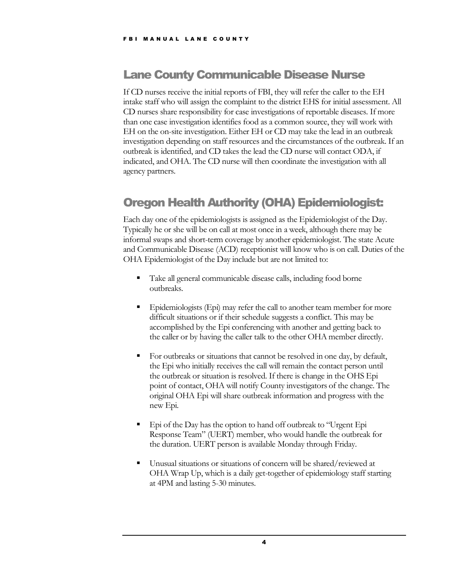## Lane County Communicable Disease Nurse

 If CD nurses receive the initial reports of FBI, they will refer the caller to the EH intake staff who will assign the complaint to the district EHS for initial assessment. All CD nurses share responsibility for case investigations of reportable diseases. If more than one case investigation identifies food as a common source, they will work with EH on the on-site investigation. Either EH or CD may take the lead in an outbreak investigation depending on staff resources and the circumstances of the outbreak. If an outbreak is identified, and CD takes the lead the CD nurse will contact ODA, if indicated, and OHA. The CD nurse will then coordinate the investigation with all For MANUAL LANE COUNTY<br> **Lane County Communic**<br>
If CD nurses receive the initial reports of<br>
than one case investigation identifies for<br>
EH on the on-site investigation depending<br>
than one case investigation depending on agency partners.

## Oregon Health Authority (OHA) Epidemiologist:

 Each day one of the epidemiologists is assigned as the Epidemiologist of the Day. Typically he or she will be on call at most once in a week, although there may be informal swaps and short-term coverage by another epidemiologist. The state Acute and Communicable Disease (ACD) receptionist will know who is on call. Duties of the OHA Epidemiologist of the Day include but are not limited to:

- ▪ Take all general communicable disease calls, including food borne outbreaks.
- **Epidemiologists (Epi) may refer the call to another team member for more**  difficult situations or if their schedule suggests a conflict. This may be accomplished by the Epi conferencing with another and getting back to the caller or by having the caller talk to the other OHA member directly.
- For outbreaks or situations that cannot be resolved in one day, by default, the Epi who initially receives the call will remain the contact person until the outbreak or situation is resolved. If there is change in the OHS Epi point of contact, OHA will notify County investigators of the change. The original OHA Epi will share outbreak information and progress with the new Epi.
- **Epi of the Day has the option to hand off outbreak to "Urgent Epi**  Response Team" (UERT) member, who would handle the outbreak for the duration. UERT person is available Monday through Friday.
- ▪ Unusual situations or situations of concern will be shared/reviewed at OHA Wrap Up, which is a daily get-together of epidemiology staff starting at 4PM and lasting 5-30 minutes.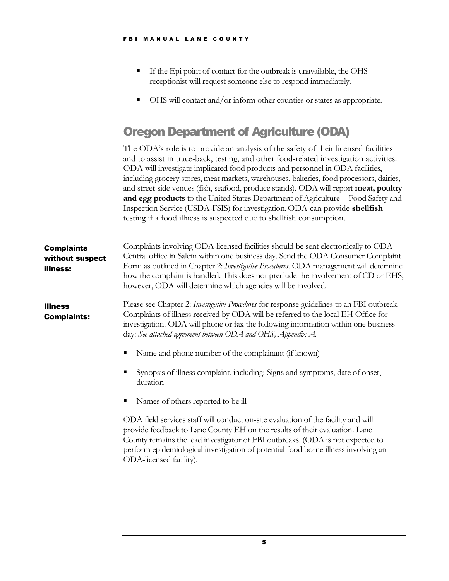- **If the Epi point of contact for the outbreak is unavailable, the OHS** receptionist will request someone else to respond immediately.
- **OHS will contact and/or inform other counties or states as appropriate.**

## Oregon Department of Agriculture (ODA)

 The ODA's role is to provide an analysis of the safety of their licensed facilities and to assist in trace-back, testing, and other food-related investigation activities. ODA will investigate implicated food products and personnel in ODA facilities, including grocery stores, meat markets, warehouses, bakeries, food processors, dairies, and street-side venues (fish, seafood, produce stands). ODA will report **meat, poultry and egg products** to the United States Department of Agriculture—Food Safety and Inspection Service (USDA-FSIS) for investigation. ODA can provide **shellfish**  testing if a food illness is suspected due to shellfish consumption.

| <b>Complaints</b><br>without suspect<br>illness: | Complaints involving ODA-licensed facilities should be sent electronically to ODA<br>Central office in Salem within one business day. Send the ODA Consumer Complaint<br>Form as outlined in Chapter 2: <i>Investigative Procedures</i> . ODA management will determine<br>how the complaint is handled. This does not preclude the involvement of CD or EHS;<br>however, ODA will determine which agencies will be involved. |
|--------------------------------------------------|-------------------------------------------------------------------------------------------------------------------------------------------------------------------------------------------------------------------------------------------------------------------------------------------------------------------------------------------------------------------------------------------------------------------------------|
| <b>Illness</b><br><b>Complaints:</b>             | Please see Chapter 2: <i>Investigative Procedures</i> for response guidelines to an FBI outbreak.<br>Complaints of illness received by ODA will be referred to the local EH Office for<br>investigation. ODA will phone or fax the following information within one business<br>day: See attached agreement between ODA and OHS, Appendix A.<br>Name and phone number of the complainant (if known)                           |
|                                                  | Synopsis of illness complaint, including: Signs and symptoms, date of onset,<br>duration<br>Names of others reported to be ill                                                                                                                                                                                                                                                                                                |
|                                                  | ODA field services staff will conduct on-site evaluation of the facility and will<br>provide feedback to Lane County EH on the results of their evaluation. Lane<br>County remains the lead investigator of FBI outbreaks. (ODA is not expected to<br>perform epidemiological investigation of potential food borne illness involving an<br>ODA-licensed facility).                                                           |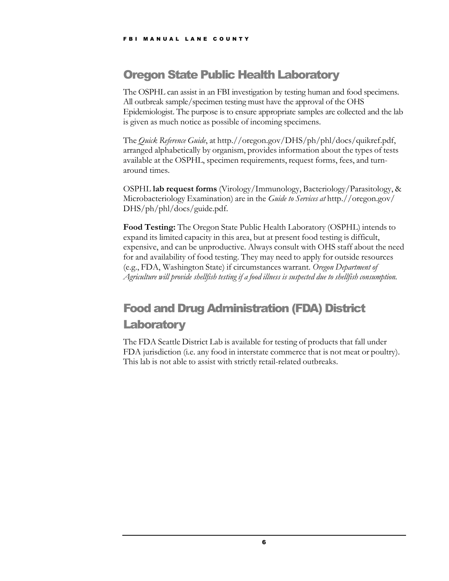## Oregon State Public Health Laboratory

 The OSPHL can assist in an FBI investigation by testing human and food specimens. All outbreak sample/specimen testing must have the approval of the OHS Epidemiologist. The purpose is to ensure appropriate samples are collected and the lab is given as much notice as possible of incoming specimens.

 The *Quick Reference Guide*, at http.//oregon.gov/DHS/ph/phl/docs/quikref.pdf, arranged alphabetically by organism, provides information about the types of tests available at the OSPHL, specimen requirements, request forms, fees, and turnaround times.

 OSPHL **lab request forms** (Virology/Immunology, Bacteriology/Parasitology, & Microbacteriology Examination) are in the *Guide to Services at* http.//oregon.gov/ DHS/ph/phl/docs/guide.pdf.

 **Food Testing:** The Oregon State Public Health Laboratory (OSPHL) intends to expand its limited capacity in this area, but at present food testing is difficult, expensive, and can be unproductive. Always consult with OHS staff about the need for and availability of food testing. They may need to apply for outside resources (e.g., FDA, Washington State) if circumstances warrant. *Oregon Department of Agriculture will provide shellfish testing if a food illness is suspected due to shellfish consumption.* 

## Food and Drug Administration (FDA) District **Laboratory**

 The FDA Seattle District Lab is available for testing of products that fall under FDA jurisdiction (i.e. any food in interstate commerce that is not meat or poultry). This lab is not able to assist with strictly retail-related outbreaks.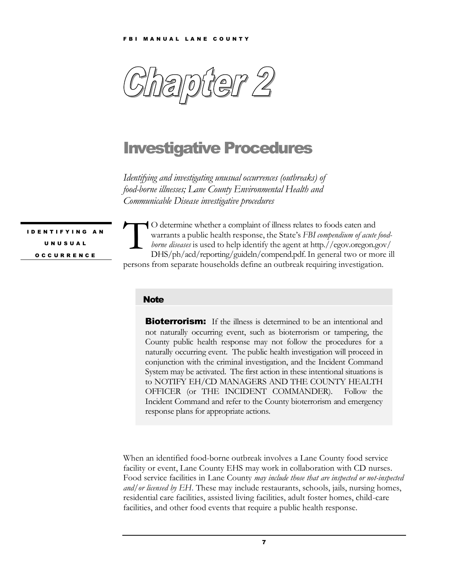<span id="page-8-0"></span>

## Investigative Procedures

 *Identifying and investigating unusual occurrences (outbreaks) of food-borne illnesses; Lane County Environmental Health and Communicable Disease investigative procedures* 

I D E N T I F Y I N G U N U S U A L O C C U R R E N C E

O determine whether a complaint of illness relates to foods eaten and  $\mathbf{S}$  *borne diseases* is used to help identify the agent at http.//egov.oregon.gov/ persons from separate households define an outbreak requiring investigation. O determine whether a complaint of illness relates to foods eaten and<br>warrants a public health response, the State's FBI compendium of acute<br>borne diseases is used to help identify the agent at http.//egov.oregon.g<br>DHS/ph/ warrants a public health response, the State's *FBI compendium of acute food-*DHS/ph/acd/reporting/guideln/compend.pdf.In general two or more ill

#### **Note**

**Bioterrorism:** If the illness is determined to be an intentional and not naturally occurring event, such as bioterrorism or tampering, the County public health response may not follow the procedures for a naturally occurring event. The public health investigation will proceed in conjunction with the criminal investigation, and the Incident Command System may be activated. The first action in these intentional situations is to NOTIFY EH/CD MANAGERS AND THE COUNTY HEALTH OFFICER (or THE INCIDENT COMMANDER). Follow the Incident Command and refer to the County bioterrorism and emergency response plans for appropriate actions.

 When an identified food-borne outbreak involves a Lane County food service facility or event, Lane County EHS may work in collaboration with CD nurses. Food service facilities in Lane County *may include those that are inspected or not-inspected and/or licensed by EH*. These may include restaurants, schools, jails, nursing homes, residential care facilities, assisted living facilities, adult foster homes, child-care facilities, and other food events that require a public health response.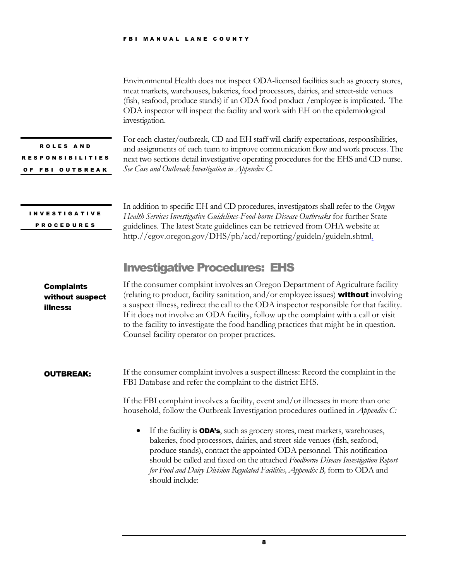Environmental Health does not inspect ODA-licensed facilities such as grocery stores, meat markets, warehouses, bakeries, food processors, dairies, and street-side venues (fish, seafood, produce stands) if an ODA food product /employee is implicated. The ODA inspector will inspect the facility and work with EH on the epidemiological investigation.

 R O L E S A N D OF FBI OUTBREAK RESPONSIBILITIES  For each cluster/outbreak, CD and EH staff will clarify expectations, responsibilities, and assignments of each team to improve communication flow and work process. The next two sections detail investigative operating procedures for the EHS and CD nurse.  *See Case and Outbreak Investigation in Appendix C.* 

I N V E S T I G A T I V E P R O C E D U R E S

 In addition to specific EH and CD procedures, investigators shall refer to the *Oregon Health Services Investigative Guidelines-Food-borne Disease Outbreaks* for further State guidelines. The latest State guidelines can be retrieved from OHA website at http.//egov.oregon.gov/DHS/ph/acd/reporting/guideln/guideln.shtml.

## Investigative Procedures: EHS

 If the consumer complaint involves an Oregon Department of Agriculture facility (relating to product, facility sanitation, and/or employee issues) without involving a suspect illness, redirect the call to the ODA inspector responsible for that facility. If it does not involve an ODA facility, follow up the complaint with a call or visit to the facility to investigate the food handling practices that might be in question. Counsel facility operator on proper practices. without suspect **Complaints** illness:

 If the consumer complaint involves a suspect illness: Record the complaint in the FBI Database and refer the complaint to the district EHS. OUTBREAK:

> If the FBI complaint involves a facility, event and/or illnesses in more than one household, follow the Outbreak Investigation procedures outlined in *Appendix C:*

• If the facility is ODA's, such as grocery stores, meat markets, warehouses, bakeries, food processors, dairies, and street-side venues (fish, seafood, produce stands), contact the appointed ODA personnel. This notification should be called and faxed on the attached *Foodborne Disease Investigation Report* for Food and Dairy Division Regulated Facilities, Appendix B, form to ODA and should include: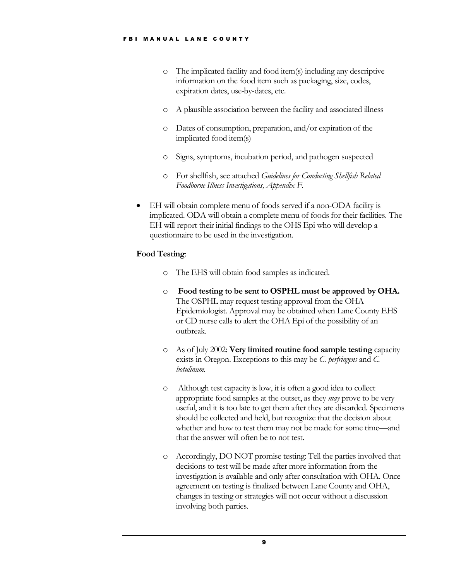- o The implicated facility and food item(s) including any descriptive information on the food item such as packaging, size, codes, expiration dates, use-by-dates, etc.
- o A plausible association between the facility and associated illness
- o Dates of consumption, preparation, and/or expiration of the implicated food item(s)
- o Signs, symptoms, incubation period, and pathogen suspected
- o For shellfish, see attached *Guidelines for Conducting Shellfish Related Foodborne Illness Investigations, Appendix F.*
- • EH will obtain complete menu of foods served if a non-ODA facility is implicated. ODA will obtain a complete menu of foods for their facilities. The EH will report their initial findings to the OHS Epi who will develop a questionnaire to be used in the investigation.

#### **Food Testing**:

- o The EHS will obtain food samples as indicated.
- o **Food testing to be sent to OSPHL must be approved by OHA.** The OSPHL may request testing approval from the OHA Epidemiologist. Approval may be obtained when Lane County EHS or CD nurse calls to alert the OHA Epi of the possibility of an outbreak.
- o As of July 2002: **Very limited routine food sample testing** capacity exists in Oregon. Exceptions to this may be *C. perfringens* and *C. botulinum.*
- o Although test capacity is low, it is often a good idea to collect appropriate food samples at the outset, as they *may* prove to be very useful, and it is too late to get them after they are discarded. Specimens should be collected and held, but recognize that the decision about whether and how to test them may not be made for some time—and that the answer will often be to not test.
- o Accordingly, DO NOT promise testing: Tell the parties involved that decisions to test will be made after more information from the investigation is available and only after consultation with OHA. Once agreement on testing is finalized between Lane County and OHA, changes in testing or strategies will not occur without a discussion involving both parties.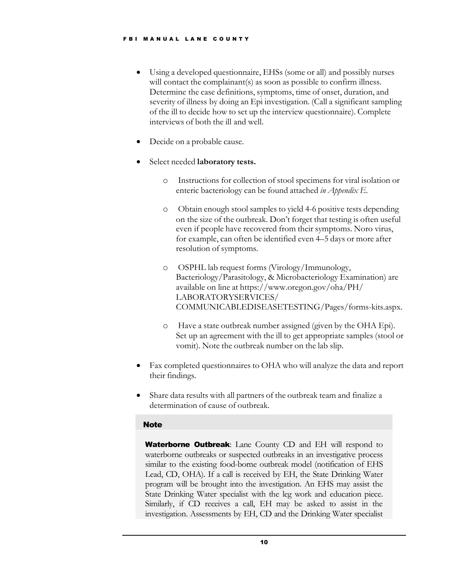- • Using a developed questionnaire, EHSs (some or all) and possibly nurses will contact the complainant(s) as soon as possible to confirm illness. Determine the case definitions, symptoms, time of onset, duration, and severity of illness by doing an Epi investigation. (Call a significant sampling of the ill to decide how to set up the interview questionnaire). Complete interviews of both the ill and well.
- Decide on a probable cause.
- • Select needed **laboratory tests.**
	- o Instructions for collection of stool specimens for viral isolation or enteric bacteriology can be found attached *in Appendix E*.
	- o Obtain enough stool samples to yield 4-6 positive tests depending on the size of the outbreak. Don't forget that testing is often useful even if people have recovered from their symptoms. Noro virus, for example, can often be identified even 4–5 days or more after resolution of symptoms.
	- o OSPHL lab request forms (Virology/Immunology, Bacteriology/Parasitology, & Microbacteriology Examination) are available on line at https://www.oregon.gov/oha/PH/ [COMMUNICABLEDISEASETESTING/Pages/forms-kits.aspx.](https://www.oregon.gov/oha/PH/LABORATORYSERVICES/COMMUNICABLEDISEASETESTING/Pages/forms-kits.aspx) LABORATORYSERVICES/
	- o Have a state outbreak number assigned (given by the OHA Epi). vomit). Note the outbreak number on the lab slip. Set up an agreement with the ill to get appropriate samples (stool or
- their findings. • Fax completed questionnaires to OHA who will analyze the data and report
- Share data results with all partners of the outbreak team and finalize a determination of cause of outbreak.

#### **Note**

Waterborne Outbreak: Lane County CD and EH will respond to waterborne **outbreak**. Early CD and E11 will respond to waterborne outbreaks or suspected outbreaks in an investigative process similar to the existing food-borne outbreak model (notification of EHS Lead, CD, OHA). If a call is received by EH, the State Drinking Water program will be brought into the investigation. An EHS may assist the State Drinking Water specialist with the leg work and education piece. Similarly, if CD receives a call, EH may be asked to assist in the investigation. Assessments by EH, CD and the Drinking Water specialist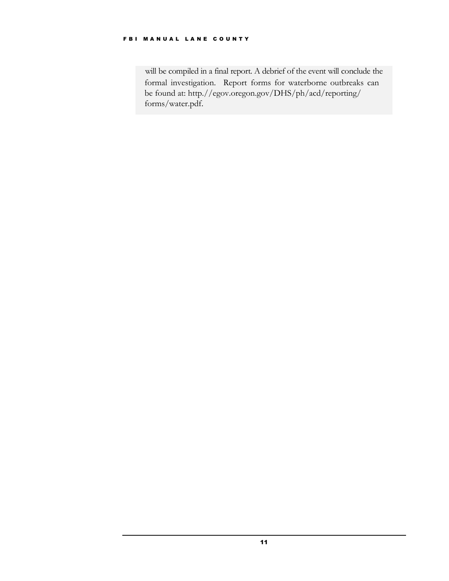will be compiled in a final report. A debrief of the event will conclude the formal investigation. Report forms for waterborne outbreaks can be found at: http.//egov.oregon.gov/DHS/ph/acd/reporting/ forms/water.pdf.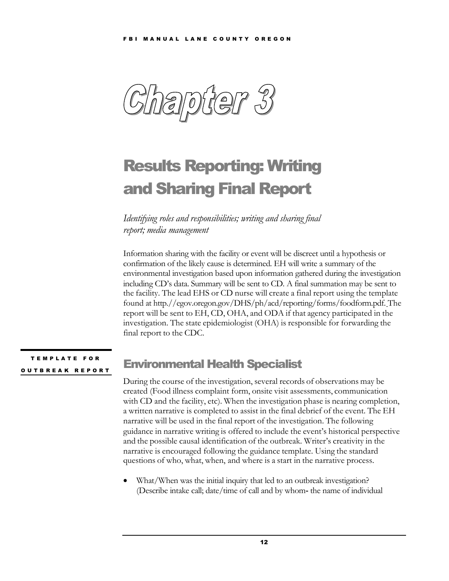<span id="page-13-0"></span> $\bigodot$ 

# Results Reporting: Writing and Sharing Final Report

 *Identifying roles and responsibilities; writing and sharing final report; media management* 

 Information sharing with the facility or event will be discreet until a hypothesis or confirmation of the likely cause is determined. EH will write a summary of the environmental investigation based upon information gathered during the investigation including CD's data. Summary will be sent to CD. A final summation may be sent to the facility. The lead EHS or CD nurse will create a final report using the template report will be sent to EH, CD, OHA, and ODA if that agency participated in the investigation. The state epidemiologist (OHA) is responsible for forwarding the final report to the CDC. found at http.//egov.oregon.gov/DHS/ph/acd/reporting/forms/foodform.pdf. The

**TEMPLATE FOR** O U T B R E A K R E P O R T

## Environmental Health Specialist

 During the course of the investigation, several records of observations may be created (Food illness complaint form, onsite visit assessments, communication with CD and the facility, etc). When the investigation phase is nearing completion, a written narrative is completed to assist in the final debrief of the event. The EH narrative will be used in the final report of the investigation. The following guidance in narrative writing is offered to include the event's historical perspective and the possible causal identification of the outbreak. Writer's creativity in the narrative is encouraged following the guidance template. Using the standard questions of who, what, when, and where is a start in the narrative process. ng CD's<br>lity. The<br>at http./,<br>will be sextion. T<br>port to t<br>port to t<br>**room**<br>the could be could be an anarat<br>ve will be in narat TEMPLATE FOR<br>
TBREAK REPORT<br>
During the conduction<br>  $\begin{array}{r} \text{During the co-} \\ \text{virth CD and} \\ \text{a written narrow} \\ \text{quidance in n} \\ \text{and the possi} \end{array}$ 

> • What/When was the initial inquiry that led to an outbreak investigation? (Describe intake call; date/time of call and by whom- the name of individual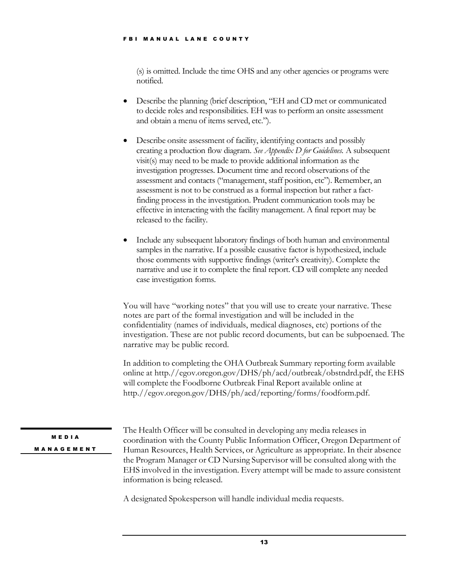(s) is omitted. Include the time OHS and any other agencies or programs were notified.

- • Describe the planning (brief description, "EH and CD met or communicated to decide roles and responsibilities. EH was to perform an onsite assessment Describe the planning (brief description, '<br>to decide roles and responsibilities. EH w.<br>and obtain a menu of items served, etc.").
- • Describe onsite assessment of facility, identifying contacts and possibly creating a production flow diagram. *See Appendix D for Guidelines.* A subsequent visit(s) may need to be made to provide additional information as the investigation progresses. Document time and record observations of the assessment and contacts ("management, staff position, etc"). Remember, an assessment is not to be construed as a formal inspection but rather a fact- finding process in the investigation. Prudent communication tools may be effective in interacting with the facility management. A final report may be released to the facility. Finent<br>sment<br>ag proce<br>ive in 1<br>de any<br>les in t<br>comm
- • Include any subsequent laboratory findings of both human and environmental samples in the narrative. If a possible causative factor is hypothesized, include those comments with supportive findings (writer's creativity). Complete the narrative and use it to complete the final report. CD will complete any needed case investigation forms.

 You will have "working notes" that you will use to create your narrative. These notes are part of the formal investigation and will be included in the confidentiality (names of individuals, medical diagnoses, etc) portions of the investigation. These are not public record documents, but can be subpoenaed. The narrative may be public record.

 In addition to completing the OHA Outbreak Summary reporting form available will complete the Foodborne Outbreak Final Report available online at online at http.//egov.oregon.gov/DHS/ph/acd/outbreak/obstndrd.pdf, the EHS http.//egov.oregon.gov/DHS/ph/acd/reporting/forms/foodform.pdf.

M E D I A **MANAGEMENT** 

 The Health Officer will be consulted in developing any media releases in coordination with the County Public Information Officer, Oregon Department of Human Resources, Health Services, or Agriculture as appropriate. In their absence the Program Manager or CD Nursing Supervisor will be consulted along with the EHS involved in the investigation. Every attempt will be made to assure consistent information is being released.

A designated Spokesperson will handle individual media requests.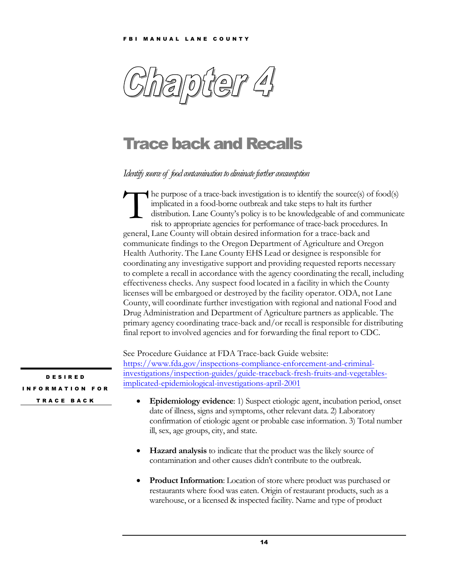<span id="page-15-0"></span>

## Trace back and Recalls

Identify source of food contamination to eliminate further consumption

 $\blacktriangleleft$  he purpose of a trace-back investigation is to identify the source(s) of food(s) implicated in a food-borne outbreak and take steps to halt its further  $\overline{\phantom{a}}$  risk to appropriate agencies for performance of trace-back procedures. In general, Lane County will obtain desired information for a trace-back and communicate findings to the Oregon Department of Agriculture and Oregon Health Authority. The Lane County EHS Lead or designee is responsible for coordinating any investigative support and providing requested reports necessary to complete a recall in accordance with the agency coordinating the recall, including effectiveness checks. Any suspect food located in a facility in which the County licenses will be embargoed or destroyed by the facility operator. ODA, not Lane County, will coordinate further investigation with regional and national Food and Drug Administration and Department of Agriculture partners as applicable. The primary agency coordinating trace-back and/or recall is responsible for distributing final report to involved agencies and for forwarding the final report to CDC. he purpose of a trace-back investigation is to identify the source(s) of food(s) implicated in a food-borne outbreak and take steps to halt its further distribution. Lane County's policy is to be knowledgeable of and commu distribution. Lane County's policy is to be knowledgeable of and communicate

[investigations/inspection-guides/guide-traceback-fresh-fruits-and-vegetables-](https://www.fda.gov/inspections-compliance-enforcement-and-criminal-investigations/inspection-guides/guide-traceback-fresh-fruits-and-vegetables-implicated-epidemiological-investigations-april-2001)See Procedure Guidance at FDA Trace-back Guide website: https://www.fda.gov/inspections-compliance-enforcement-and-criminalimplicated-epidemiological-investigations-april-2001

- • **Epidemiology evidence**: 1) Suspect etiologic agent, incubation period, onset date of illness, signs and symptoms, other relevant data. 2) Laboratory confirmation of etiologic agent or probable case information. 3) Total number ill, sex, age groups, city, and state.
- **Hazard analysis** to indicate that the product was the likely source of contamination and other causes didn't contribute to the outbreak.
- • **Product Information**: Location of store where product was purchased or restaurants where food was eaten. Origin of restaurant products, such as a warehouse, or a licensed & inspected facility. Name and type of product

 I N F O R M A T I O N F O R D E S I R E D

T R A C E B A C K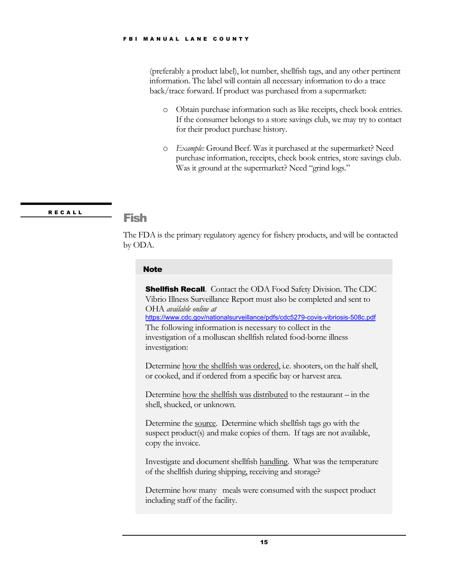<span id="page-16-0"></span> (preferably a product label), lot number, shellfish tags, and any other pertinent information. The label will contain all necessary information to do a trace back/trace forward. If product was purchased from a supermarket: FBI MANUAL LANE COUNTY<br>
(preferably a product label), lot<br>
information. The label will con<br>
back/trace forward. If product<br>  $\circ$  Obtain purchase information<br>
for their product purch<br>  $\circ$  *Example*: Ground Beet<br>
purchase i

- o Obtain purchase information such as like receipts, check book entries. If the consumer belongs to a store savings club, we may try to contact for their product purchase history.
- o *Example:* Ground Beef. Was it purchased at the supermarket? Need purchase information, receipts, check book entries, store savings club. Was it ground at the supermarket? Need "grind logs."

RECALL Fish

 The FDA is the primary regulatory agency for fishery products, and will be contacted by ODA.

### **Note**

**Shellfish Recall.** Contact the ODA Food Safety Division. The CDC Vibrio Illness Surveillance Report must also be completed and sent to The following information is necessary to collect in the investigation of a molluscan shellfish related food-borne illness OHA *available online at*  <https://www.cdc.gov/nationalsurveillance/pdfs/cdc5279-covis-vibriosis-508c.pdf> investigation:

Determine how the shellfish was ordered, i.e. shooters, on the half shell, or cooked, and if ordered from a specific bay or harvest area.

Determine how the shellfish was distributed to the restaurant – in the shell, shucked, or unknown.

Determine the source. Determine which shellfish tags go with the suspect product(s) and make copies of them. If tags are not available, copy the invoice.

Investigate and document shellfish handling. What was the temperature of the shellfish during shipping, receiving and storage?

 Determine how many meals were consumed with the suspect product including staff of the facility.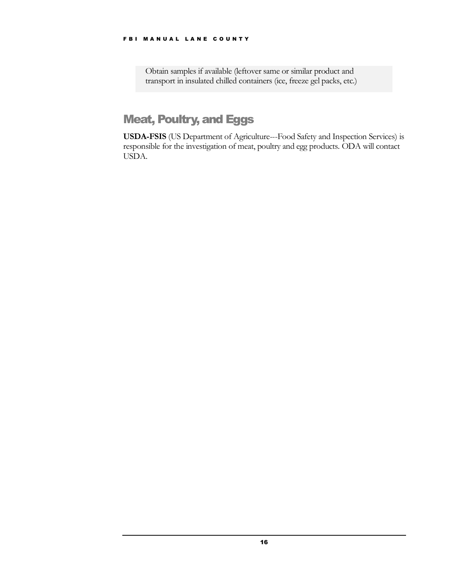Obtain samples if available (leftover same or similar product and transport in insulated chilled containers (ice, freeze gel packs, etc.)

## **Meat, Poultry, and Eggs**

 **USDA-FSIS** (US Department of Agriculture---Food Safety and Inspection Services) is responsible for the investigation of meat, poultry and egg products. ODA will contact USDA.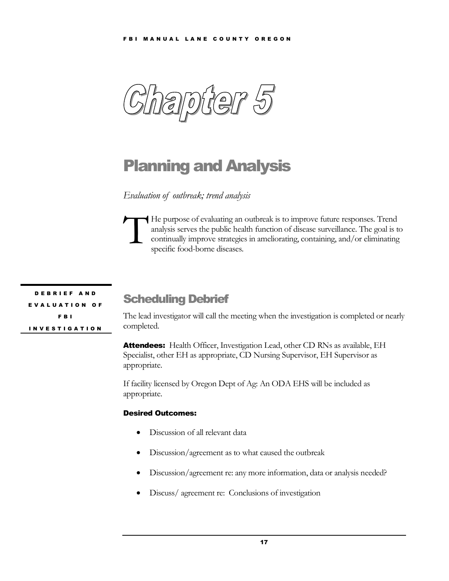$\bigoplus$ 

## Planning and Analysis

 *Evaluation of outbreak; trend analysis* 

He purpose of evaluating an outbreak is to improve future responses. Trend l, continually improve strategies in ameliorating, containing, and/or eliminating He purpose of evaluating an outbreak is to improve future responses. Trend analysis serves the public health function of disease surveillance. The goal is to continually improve strategies in ameliorating, containing, and/ specific food-borne diseases.

 D E B R I E F A N D E V A L U A T I O N O F F B I I N V E S T I G A T I O N

## Scheduling Debrief

 The lead investigator will call the meeting when the investigation is completed or nearly completed.

Attendees: Health Officer, Investigation Lead, other CD RNs as available, EH Specialist, other EH as appropriate, CD Nursing Supervisor, EH Supervisor as appropriate.

 If facility licensed by Oregon Dept of Ag: An ODA EHS will be included as appropriate.

#### Desired Outcomes:

- Discussion of all relevant data
- Discussion/agreement as to what caused the outbreak
- Discussion/agreement re: any more information, data or analysis needed?
- Discuss/ agreement re: Conclusions of investigation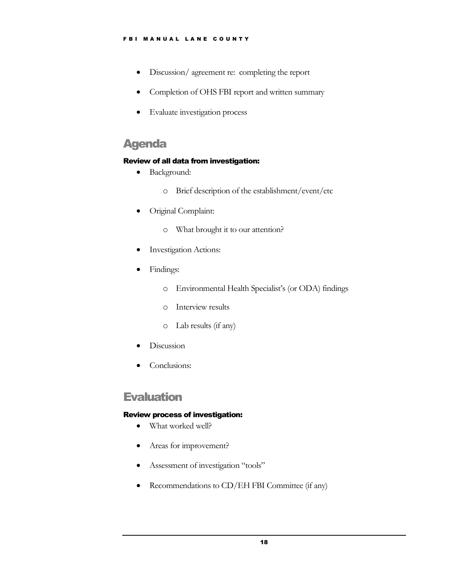- Discussion/ agreement re: completing the report
- Completion of OHS FBI report and written summary
- Evaluate investigation process

## Agenda

#### Review of all data from investigation:

- Background:
	- o Brief description of the establishment/event/etc
- Original Complaint:
	- o What brought it to our attention?
- Investigation Actions:
- Findings:
	- o Environmental Health Specialist's (or ODA) findings
	- o Interview results
	- o Lab results (if any)
- Discussion
- Conclusions:

## **Evaluation**

#### Review process of investigation:

- What worked well?
- Areas for improvement?
- Assessment of investigation "tools"
- Recommendations to CD/EH FBI Committee (if any)